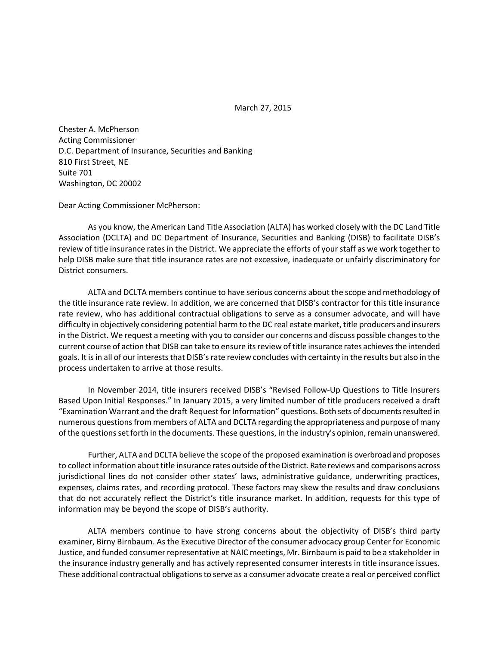March 27, 2015

Chester A. McPherson Acting Commissioner D.C. Department of Insurance, Securities and Banking 810 First Street, NE Suite 701 Washington, DC 20002

Dear Acting Commissioner McPherson:

As you know, the American Land Title Association (ALTA) has worked closely with the DC Land Title Association (DCLTA) and DC Department of Insurance, Securities and Banking (DISB) to facilitate DISB's review of title insurance rates in the District. We appreciate the efforts of your staff as we work together to help DISB make sure that title insurance rates are not excessive, inadequate or unfairly discriminatory for District consumers.

ALTA and DCLTA members continue to have serious concerns about the scope and methodology of the title insurance rate review. In addition, we are concerned that DISB's contractor for this title insurance rate review, who has additional contractual obligations to serve as a consumer advocate, and will have difficulty in objectively considering potential harm to the DC real estate market, title producers and insurers in the District. We request a meeting with you to consider our concerns and discuss possible changes to the current course of action that DISB can take to ensure its review of title insurance rates achieves the intended goals. It is in all of our interests that DISB's rate review concludes with certainty in the results but also in the process undertaken to arrive at those results.

In November 2014, title insurers received DISB's "Revised Follow-Up Questions to Title Insurers Based Upon Initial Responses." In January 2015, a very limited number of title producers received a draft "Examination Warrant and the draft Request for Information" questions. Both sets of documents resulted in numerous questions from members of ALTA and DCLTA regarding the appropriateness and purpose of many of the questions set forth in the documents. These questions, in the industry's opinion, remain unanswered.

Further, ALTA and DCLTA believe the scope of the proposed examination is overbroad and proposes to collect information about title insurance rates outside of the District. Rate reviews and comparisons across jurisdictional lines do not consider other states' laws, administrative guidance, underwriting practices, expenses, claims rates, and recording protocol. These factors may skew the results and draw conclusions that do not accurately reflect the District's title insurance market. In addition, requests for this type of information may be beyond the scope of DISB's authority.

ALTA members continue to have strong concerns about the objectivity of DISB's third party examiner, Birny Birnbaum. As the Executive Director of the consumer advocacy group Center for Economic Justice, and funded consumer representative at NAIC meetings, Mr. Birnbaum is paid to be a stakeholder in the insurance industry generally and has actively represented consumer interests in title insurance issues. These additional contractual obligations to serve as a consumer advocate create a real or perceived conflict